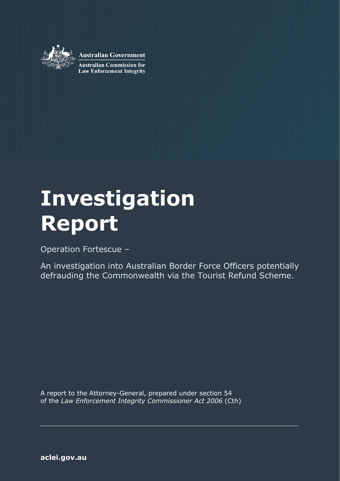

**Australian Government** 

**Australian Commission for Law Enforcement Integrity** 

# **Investigation Report**

Operation Fortescue –

An investigation into Australian Border Force Officers potentially defrauding the Commonwealth via the Tourist Refund Scheme.

\_\_\_\_\_\_\_\_\_\_\_\_\_\_\_\_\_\_\_\_\_\_\_\_\_\_\_\_\_\_\_\_\_\_\_\_\_\_\_\_\_\_\_\_\_\_\_\_\_\_\_\_\_\_\_\_\_\_\_\_\_\_\_\_\_\_\_\_\_\_\_

A report to the Attorney-General, prepared under section 54 of the *Law Enforcement Integrity Commissioner Act 2006* (Cth)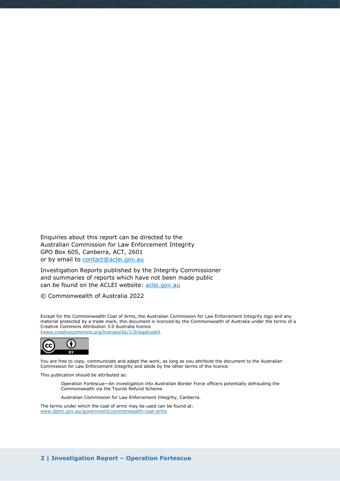Enquiries about this report can be directed to the Australian Commission for Law Enforcement Integrity GPO Box 605, Canberra, ACT, 2601 or by email to [contact@aclei.gov.au](mailto:contact@aclei.gov.au) 

Investigation Reports published by the Integrity Commissioner and summaries of reports which have not been made public can be found on the ACLEI website: [aclei.gov.au](http://www.aclei.gov.au/)

© Commonwealth of Australia 2022

Except for the Commonwealth Coat of Arms, the Australian Commission for Law Enforcement Integrity logo and any material protected by a trade mark, this document is licenced by the Commonwealth of Australia under the terms of a Creative Commons Attribution 3.0 Australia licence [\(www.creativecommons.org/licenses/by/3.0/legalcode\)](http://www.creativecommons.org/licenses/by/3.0/legalcode).



You are free to copy, communicate and adapt the work, as long as you attribute the document to the Australian Commission for Law Enforcement Integrity and abide by the other terms of the licence.

This publication should be attributed as:

Operation Fortescue—An investigation into Australian Border Force officers potentially defrauding the Commonwealth via the Tourist Refund Scheme

Australian Commission for Law Enforcement Integrity, Canberra.

The terms under which the coat of arms may be used can be found at: [www.dpmc.gov.au/government/commonwealth-coat-arms](http://www.dpmc.gov.au/government/commonwealth-coat-arms)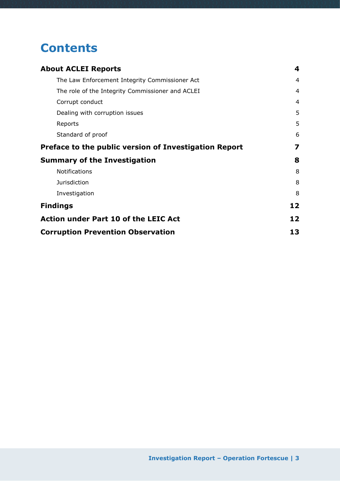# **Contents**

| <b>About ACLEI Reports</b>                            | 4  |
|-------------------------------------------------------|----|
| The Law Enforcement Integrity Commissioner Act        | 4  |
| The role of the Integrity Commissioner and ACLEI      | 4  |
| Corrupt conduct                                       | 4  |
| Dealing with corruption issues                        | 5  |
| Reports                                               | 5  |
| Standard of proof                                     | 6  |
| Preface to the public version of Investigation Report | 7  |
| <b>Summary of the Investigation</b>                   | 8  |
| Notifications                                         | 8  |
| <b>Jurisdiction</b>                                   | 8  |
| Investigation                                         | 8  |
| <b>Findings</b>                                       | 12 |
| <b>Action under Part 10 of the LEIC Act</b>           | 12 |
| <b>Corruption Prevention Observation</b>              | 13 |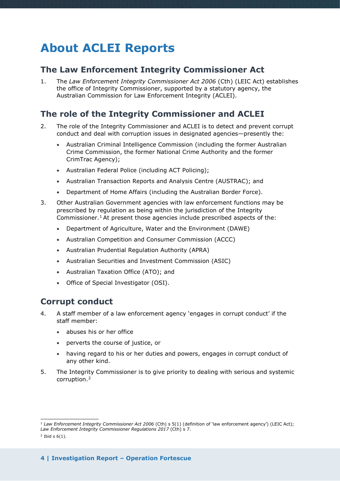# <span id="page-3-0"></span>**About ACLEI Reports**

### <span id="page-3-1"></span>**The Law Enforcement Integrity Commissioner Act**

1. The *Law Enforcement Integrity Commissioner Act 2006* (Cth) (LEIC Act) establishes the office of Integrity Commissioner, supported by a statutory agency, the Australian Commission for Law Enforcement Integrity (ACLEI).

### <span id="page-3-2"></span>**The role of the Integrity Commissioner and ACLEI**

- 2. The role of the Integrity Commissioner and ACLEI is to detect and prevent corrupt conduct and deal with corruption issues in designated agencies—presently the:
	- Australian Criminal Intelligence Commission (including the former Australian Crime Commission, the former National Crime Authority and the former CrimTrac Agency);
	- Australian Federal Police (including ACT Policing);
	- Australian Transaction Reports and Analysis Centre (AUSTRAC); and
	- Department of Home Affairs (including the Australian Border Force).
- 3. Other Australian Government agencies with law enforcement functions may be prescribed by regulation as being within the jurisdiction of the Integrity Commissioner.<sup>[1](#page-3-4)</sup> At present those agencies include prescribed aspects of the:
	- Department of Agriculture, Water and the Environment (DAWE)
	- Australian Competition and Consumer Commission (ACCC)
	- Australian Prudential Regulation Authority (APRA)
	- Australian Securities and Investment Commission (ASIC)
	- Australian Taxation Office (ATO); and
	- Office of Special Investigator (OSI).

### <span id="page-3-3"></span>**Corrupt conduct**

- 4. A staff member of a law enforcement agency 'engages in corrupt conduct' if the staff member:
	- abuses his or her office
	- perverts the course of justice, or
	- having regard to his or her duties and powers, engages in corrupt conduct of any other kind.
- 5. The Integrity Commissioner is to give priority to dealing with serious and systemic corruption.[2](#page-3-5)

 $\overline{\phantom{a}}$  , where the contract of the contract of the contract of the contract of the contract of the contract of the contract of the contract of the contract of the contract of the contract of the contract of the contr

<span id="page-3-4"></span><sup>1</sup> *Law Enforcement Integrity Commissioner Act 2006* (Cth) s 5(1) (definition of 'law enforcement agency') (LEIC Act); *Law Enforcement Integrity Commissioner Regulations 2017* (Cth) s 7.

<span id="page-3-5"></span> $2$  Ibid s  $6(1)$ .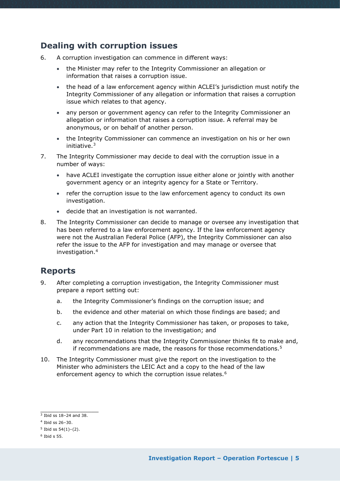### <span id="page-4-0"></span>**Dealing with corruption issues**

- 6. A corruption investigation can commence in different ways:
	- the Minister may refer to the Integrity Commissioner an allegation or information that raises a corruption issue.
	- the head of a law enforcement agency within ACLEI's jurisdiction must notify the Integrity Commissioner of any allegation or information that raises a corruption issue which relates to that agency.
	- any person or government agency can refer to the Integrity Commissioner an allegation or information that raises a corruption issue. A referral may be anonymous, or on behalf of another person.
	- the Integrity Commissioner can commence an investigation on his or her own initiative.[3](#page-4-2)
- 7. The Integrity Commissioner may decide to deal with the corruption issue in a number of ways:
	- have ACLEI investigate the corruption issue either alone or jointly with another government agency or an integrity agency for a State or Territory.
	- refer the corruption issue to the law enforcement agency to conduct its own investigation.
	- decide that an investigation is not warranted.
- 8. The Integrity Commissioner can decide to manage or oversee any investigation that has been referred to a law enforcement agency. If the law enforcement agency were not the Australian Federal Police (AFP), the Integrity Commissioner can also refer the issue to the AFP for investigation and may manage or oversee that investigation.[4](#page-4-3)

### <span id="page-4-1"></span>**Reports**

- 9. After completing a corruption investigation, the Integrity Commissioner must prepare a report setting out:
	- a. the Integrity Commissioner's findings on the corruption issue; and
	- b. the evidence and other material on which those findings are based; and
	- c. any action that the Integrity Commissioner has taken, or proposes to take, under Part 10 in relation to the investigation; and
	- d. any recommendations that the Integrity Commissioner thinks fit to make and, if recommendations are made, the reasons for those recommendations.<sup>[5](#page-4-4)</sup>
- 10. The Integrity Commissioner must give the report on the investigation to the Minister who administers the LEIC Act and a copy to the head of the law enforcement agency to which the corruption issue relates.<sup>[6](#page-4-5)</sup>

\_\_\_\_\_\_\_\_\_\_\_\_\_\_\_\_

<span id="page-4-2"></span> $3$  Ibid ss 18-24 and 38.

<span id="page-4-3"></span> $4$  Ibid ss 26–30.

<span id="page-4-4"></span> $5$  Ibid ss  $54(1)-(2)$ .

<span id="page-4-5"></span> $6$  Ibid s 55.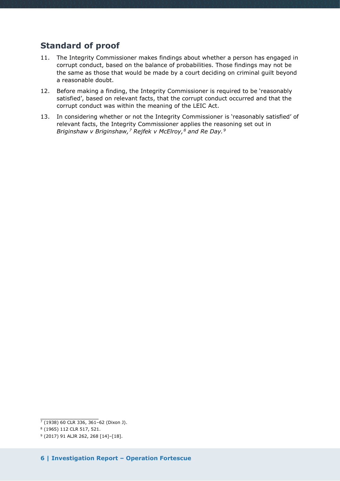### <span id="page-5-0"></span>**Standard of proof**

- 11. The Integrity Commissioner makes findings about whether a person has engaged in corrupt conduct, based on the balance of probabilities. Those findings may not be the same as those that would be made by a court deciding on criminal guilt beyond a reasonable doubt.
- 12. Before making a finding, the Integrity Commissioner is required to be 'reasonably satisfied', based on relevant facts, that the corrupt conduct occurred and that the corrupt conduct was within the meaning of the LEIC Act.
- 13. In considering whether or not the Integrity Commissioner is 'reasonably satisfied' of relevant facts, the Integrity Commissioner applies the reasoning set out in *Briginshaw v Briginshaw,[7](#page-5-1) Rejfek v McElroy,[8](#page-5-2) and Re Day.[9](#page-5-3)*

<span id="page-5-1"></span> $\overline{\phantom{a}}$  , where the contract of the contract of the contract of the contract of the contract of the contract of the contract of the contract of the contract of the contract of the contract of the contract of the contr  $7$  (1938) 60 CLR 336, 361-62 (Dixon J).

<sup>8</sup> (1965) 112 CLR 517, 521.

<span id="page-5-3"></span><span id="page-5-2"></span><sup>9</sup> (2017) 91 ALJR 262, 268 [14]–[18].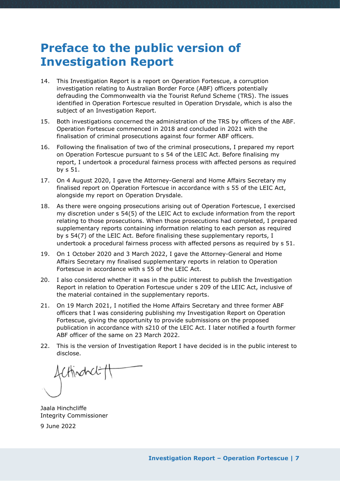# <span id="page-6-0"></span>**Preface to the public version of Investigation Report**

- 14. This Investigation Report is a report on Operation Fortescue, a corruption investigation relating to Australian Border Force (ABF) officers potentially defrauding the Commonwealth via the Tourist Refund Scheme (TRS). The issues identified in Operation Fortescue resulted in Operation Drysdale, which is also the subject of an Investigation Report.
- 15. Both investigations concerned the administration of the TRS by officers of the ABF. Operation Fortescue commenced in 2018 and concluded in 2021 with the finalisation of criminal prosecutions against four former ABF officers.
- 16. Following the finalisation of two of the criminal prosecutions, I prepared my report on Operation Fortescue pursuant to s 54 of the LEIC Act. Before finalising my report, I undertook a procedural fairness process with affected persons as required by s 51.
- 17. On 4 August 2020, I gave the Attorney-General and Home Affairs Secretary my finalised report on Operation Fortescue in accordance with s 55 of the LEIC Act, alongside my report on Operation Drysdale.
- 18. As there were ongoing prosecutions arising out of Operation Fortescue, I exercised my discretion under s 54(5) of the LEIC Act to exclude information from the report relating to those prosecutions. When those prosecutions had completed, I prepared supplementary reports containing information relating to each person as required by s 54(7) of the LEIC Act. Before finalising these supplementary reports, I undertook a procedural fairness process with affected persons as required by s 51.
- 19. On 1 October 2020 and 3 March 2022, I gave the Attorney-General and Home Affairs Secretary my finalised supplementary reports in relation to Operation Fortescue in accordance with s 55 of the LEIC Act.
- 20. I also considered whether it was in the public interest to publish the Investigation Report in relation to Operation Fortescue under s 209 of the LEIC Act, inclusive of the material contained in the supplementary reports.
- 21. On 19 March 2021, I notified the Home Affairs Secretary and three former ABF officers that I was considering publishing my Investigation Report on Operation Fortescue, giving the opportunity to provide submissions on the proposed publication in accordance with s210 of the LEIC Act. I later notified a fourth former ABF officer of the same on 23 March 2022.
- 22. This is the version of Investigation Report I have decided is in the public interest to disclose.

fcHindrelt

Jaala Hinchcliffe Integrity Commissioner

9 June 2022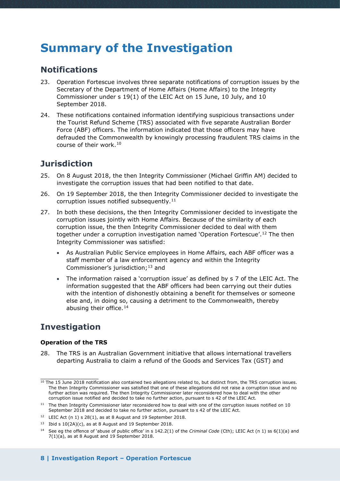# <span id="page-7-0"></span>**Summary of the Investigation**

### <span id="page-7-1"></span>**Notifications**

- 23. Operation Fortescue involves three separate notifications of corruption issues by the Secretary of the Department of Home Affairs (Home Affairs) to the Integrity Commissioner under s 19(1) of the LEIC Act on 15 June, 10 July, and 10 September 2018.
- 24. These notifications contained information identifying suspicious transactions under the Tourist Refund Scheme (TRS) associated with five separate Australian Border Force (ABF) officers. The information indicated that those officers may have defrauded the Commonwealth by knowingly processing fraudulent TRS claims in the course of their work.[10](#page-7-4)

### <span id="page-7-2"></span>**Jurisdiction**

- 25. On 8 August 2018, the then Integrity Commissioner (Michael Griffin AM) decided to investigate the corruption issues that had been notified to that date.
- 26. On 19 September 2018, the then Integrity Commissioner decided to investigate the corruption issues notified subsequently.<sup>[11](#page-7-5)</sup>
- 27. In both these decisions, the then Integrity Commissioner decided to investigate the corruption issues jointly with Home Affairs. Because of the similarity of each corruption issue, the then Integrity Commissioner decided to deal with them together under a corruption investigation named 'Operation Fortescue'.[12](#page-7-6) The then Integrity Commissioner was satisfied:
	- As Australian Public Service employees in Home Affairs, each ABF officer was a staff member of a law enforcement agency and within the Integrity Commissioner's jurisdiction;  $13$  and
	- The information raised a 'corruption issue' as defined by s 7 of the LEIC Act. The information suggested that the ABF officers had been carrying out their duties with the intention of dishonestly obtaining a benefit for themselves or someone else and, in doing so, causing a detriment to the Commonwealth, thereby abusing their office.  $14$

## <span id="page-7-3"></span>**Investigation**

#### **Operation of the TRS**

28. The TRS is an Australian Government initiative that allows international travellers departing Australia to claim a refund of the Goods and Services Tax (GST) and

<span id="page-7-4"></span> $\overline{\phantom{a}}$  , where the contract of the contract of the contract of the contract of the contract of the contract of the contract of the contract of the contract of the contract of the contract of the contract of the contr <sup>10</sup> The 15 June 2018 notification also contained two allegations related to, but distinct from, the TRS corruption issues. The then Integrity Commissioner was satisfied that one of these allegations did not raise a corruption issue and no further action was required. The then Integrity Commissioner later reconsidered how to deal with the other corruption issue notified and decided to take no further action, pursuant to s 42 of the LEIC Act.

<span id="page-7-5"></span><sup>&</sup>lt;sup>11</sup> The then Integrity Commissioner later reconsidered how to deal with one of the corruption issues notified on 10 September 2018 and decided to take no further action, pursuant to s 42 of the LEIC Act.

<span id="page-7-6"></span><sup>12</sup> LEIC Act (n 1) s 28(1), as at 8 August and 19 September 2018.

<span id="page-7-7"></span><sup>&</sup>lt;sup>13</sup> Ibid s  $10(2A)(c)$ , as at 8 August and 19 September 2018.

<span id="page-7-8"></span><sup>14</sup> See eg the offence of 'abuse of public office' in s 142.2(1) of the *Criminal Code* (Cth); LEIC Act (n 1) ss 6(1)(a) and 7(1)(a), as at 8 August and 19 September 2018.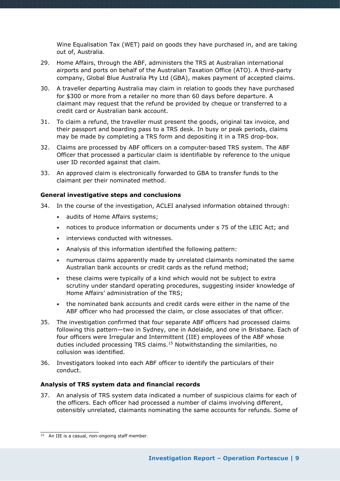Wine Equalisation Tax (WET) paid on goods they have purchased in, and are taking out of, Australia.

- 29. Home Affairs, through the ABF, administers the TRS at Australian international airports and ports on behalf of the Australian Taxation Office (ATO). A third-party company, Global Blue Australia Pty Ltd (GBA), makes payment of accepted claims.
- 30. A traveller departing Australia may claim in relation to goods they have purchased for \$300 or more from a retailer no more than 60 days before departure. A claimant may request that the refund be provided by cheque or transferred to a credit card or Australian bank account.
- 31. To claim a refund, the traveller must present the goods, original tax invoice, and their passport and boarding pass to a TRS desk. In busy or peak periods, claims may be made by completing a TRS form and depositing it in a TRS drop-box.
- 32. Claims are processed by ABF officers on a computer-based TRS system. The ABF Officer that processed a particular claim is identifiable by reference to the unique user ID recorded against that claim.
- 33. An approved claim is electronically forwarded to GBA to transfer funds to the claimant per their nominated method.

#### **General investigative steps and conclusions**

- 34. In the course of the investigation, ACLEI analysed information obtained through:
	- audits of Home Affairs systems;
	- notices to produce information or documents under s 75 of the LEIC Act; and
	- interviews conducted with witnesses.
	- Analysis of this information identified the following pattern:
	- numerous claims apparently made by unrelated claimants nominated the same Australian bank accounts or credit cards as the refund method;
	- these claims were typically of a kind which would not be subject to extra scrutiny under standard operating procedures, suggesting insider knowledge of Home Affairs' administration of the TRS;
	- the nominated bank accounts and credit cards were either in the name of the ABF officer who had processed the claim, or close associates of that officer.
- 35. The investigation confirmed that four separate ABF officers had processed claims following this pattern—two in Sydney, one in Adelaide, and one in Brisbane. Each of four officers were Irregular and Intermittent (IIE) employees of the ABF whose duties included processing TRS claims.[15](#page-8-0) Notwithstanding the similarities, no collusion was identified.
- 36. Investigators looked into each ABF officer to identify the particulars of their conduct.

#### **Analysis of TRS system data and financial records**

37. An analysis of TRS system data indicated a number of suspicious claims for each of the officers. Each officer had processed a number of claims involving different, ostensibly unrelated, claimants nominating the same accounts for refunds. Some of

\_\_\_\_\_\_\_\_\_\_\_\_\_\_\_\_

<span id="page-8-0"></span> $15$  An IIE is a casual, non-ongoing staff member.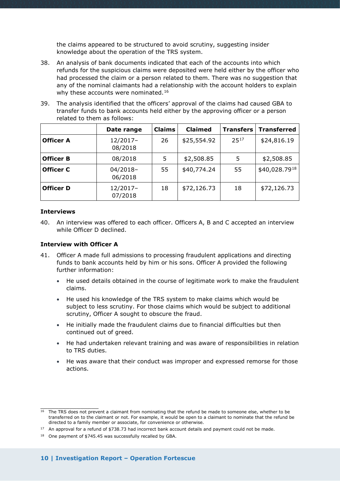the claims appeared to be structured to avoid scrutiny, suggesting insider knowledge about the operation of the TRS system.

- 38. An analysis of bank documents indicated that each of the accounts into which refunds for the suspicious claims were deposited were held either by the officer who had processed the claim or a person related to them. There was no suggestion that any of the nominal claimants had a relationship with the account holders to explain why these accounts were nominated.<sup>[16](#page-9-0)</sup>
- 39. The analysis identified that the officers' approval of the claims had caused GBA to transfer funds to bank accounts held either by the approving officer or a person related to them as follows:

|                  | Date range            | <b>Claims</b> | <b>Claimed</b> | <b>Transfers</b> | <b>Transferred</b> |
|------------------|-----------------------|---------------|----------------|------------------|--------------------|
| <b>Officer A</b> | $12/2017-$<br>08/2018 | 26            | \$25,554.92    | 2517             | \$24,816.19        |
| <b>Officer B</b> | 08/2018               | 5             | \$2,508.85     | 5                | \$2,508.85         |
| <b>Officer C</b> | $04/2018-$<br>06/2018 | 55            | \$40,774.24    | 55               | \$40,028.7918      |
| <b>Officer D</b> | $12/2017-$<br>07/2018 | 18            | \$72,126.73    | 18               | \$72,126.73        |

#### **Interviews**

40. An interview was offered to each officer. Officers A, B and C accepted an interview while Officer D declined.

#### **Interview with Officer A**

- 41. Officer A made full admissions to processing fraudulent applications and directing funds to bank accounts held by him or his sons. Officer A provided the following further information:
	- He used details obtained in the course of legitimate work to make the fraudulent claims.
	- He used his knowledge of the TRS system to make claims which would be subject to less scrutiny. For those claims which would be subject to additional scrutiny, Officer A sought to obscure the fraud.
	- He initially made the fraudulent claims due to financial difficulties but then continued out of greed.
	- He had undertaken relevant training and was aware of responsibilities in relation to TRS duties.
	- He was aware that their conduct was improper and expressed remorse for those actions.

<span id="page-9-0"></span>\_\_\_\_\_\_\_\_\_\_\_\_\_\_\_\_ <sup>16</sup> The TRS does not prevent a claimant from nominating that the refund be made to someone else, whether to be transferred on to the claimant or not. For example, it would be open to a claimant to nominate that the refund be directed to a family member or associate, for convenience or otherwise.

<span id="page-9-1"></span> $17$  An approval for a refund of \$738.73 had incorrect bank account details and payment could not be made.

<span id="page-9-2"></span><sup>&</sup>lt;sup>18</sup> One payment of \$745.45 was successfully recalled by GBA.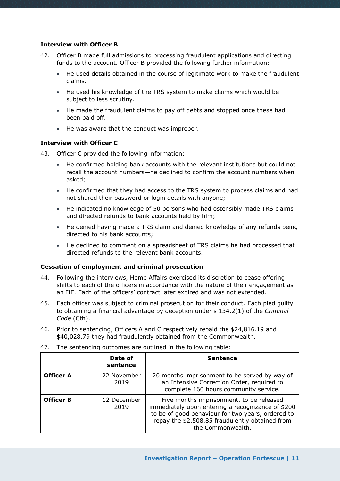#### **Interview with Officer B**

- 42. Officer B made full admissions to processing fraudulent applications and directing funds to the account. Officer B provided the following further information:
	- He used details obtained in the course of legitimate work to make the fraudulent claims.
	- He used his knowledge of the TRS system to make claims which would be subject to less scrutiny.
	- He made the fraudulent claims to pay off debts and stopped once these had been paid off.
	- He was aware that the conduct was improper.

#### **Interview with Officer C**

- 43. Officer C provided the following information:
	- He confirmed holding bank accounts with the relevant institutions but could not recall the account numbers—he declined to confirm the account numbers when asked;
	- He confirmed that they had access to the TRS system to process claims and had not shared their password or login details with anyone;
	- He indicated no knowledge of 50 persons who had ostensibly made TRS claims and directed refunds to bank accounts held by him;
	- He denied having made a TRS claim and denied knowledge of any refunds being directed to his bank accounts;
	- He declined to comment on a spreadsheet of TRS claims he had processed that directed refunds to the relevant bank accounts.

#### **Cessation of employment and criminal prosecution**

- 44. Following the interviews, Home Affairs exercised its discretion to cease offering shifts to each of the officers in accordance with the nature of their engagement as an IIE. Each of the officers' contract later expired and was not extended.
- 45. Each officer was subject to criminal prosecution for their conduct. Each pled guilty to obtaining a financial advantage by deception under s 134.2(1) of the *Criminal Code* (Cth).
- 46. Prior to sentencing, Officers A and C respectively repaid the \$24,816.19 and \$40,028.79 they had fraudulently obtained from the Commonwealth.

|                  | Date of<br>sentence | <b>Sentence</b>                                                                                                                                                                                                            |
|------------------|---------------------|----------------------------------------------------------------------------------------------------------------------------------------------------------------------------------------------------------------------------|
| <b>Officer A</b> | 22 November<br>2019 | 20 months imprisonment to be served by way of<br>an Intensive Correction Order, required to<br>complete 160 hours community service.                                                                                       |
| <b>Officer B</b> | 12 December<br>2019 | Five months imprisonment, to be released<br>immediately upon entering a recognizance of \$200<br>to be of good behaviour for two years, ordered to<br>repay the \$2,508.85 fraudulently obtained from<br>the Commonwealth. |

47. The sentencing outcomes are outlined in the following table: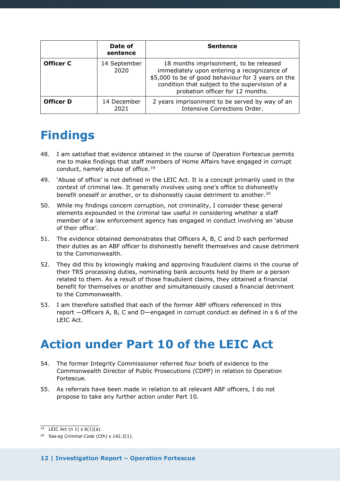|                  | Date of<br>sentence  | <b>Sentence</b>                                                                                                                                                                                                                   |
|------------------|----------------------|-----------------------------------------------------------------------------------------------------------------------------------------------------------------------------------------------------------------------------------|
| <b>Officer C</b> | 14 September<br>2020 | 18 months imprisonment, to be released<br>immediately upon entering a recognizance of<br>\$5,000 to be of good behaviour for 3 years on the<br>condition that subject to the supervision of a<br>probation officer for 12 months. |
| <b>Officer D</b> | 14 December<br>2021  | 2 years imprisonment to be served by way of an<br>Intensive Corrections Order.                                                                                                                                                    |

# <span id="page-11-0"></span>**Findings**

- 48. I am satisfied that evidence obtained in the course of Operation Fortescue permits me to make findings that staff members of Home Affairs have engaged in corrupt conduct, namely abuse of office.<sup>[19](#page-11-2)</sup>
- 49. 'Abuse of office' is not defined in the LEIC Act. It is a concept primarily used in the context of criminal law. It generally involves using one's office to dishonestly benefit oneself or another, or to dishonestly cause detriment to another.<sup>[20](#page-11-3)</sup>
- 50. While my findings concern corruption, not criminality, I consider these general elements expounded in the criminal law useful in considering whether a staff member of a law enforcement agency has engaged in conduct involving an 'abuse of their office'.
- 51. The evidence obtained demonstrates that Officers A, B, C and D each performed their duties as an ABF officer to dishonestly benefit themselves and cause detriment to the Commonwealth.
- 52. They did this by knowingly making and approving fraudulent claims in the course of their TRS processing duties, nominating bank accounts held by them or a person related to them. As a result of those fraudulent claims, they obtained a financial benefit for themselves or another and simultaneously caused a financial detriment to the Commonwealth.
- 53. I am therefore satisfied that each of the former ABF officers referenced in this report —Officers A, B, C and D—engaged in corrupt conduct as defined in s 6 of the LEIC Act.

# <span id="page-11-1"></span>**Action under Part 10 of the LEIC Act**

- 54. The former Integrity Commissioner referred four briefs of evidence to the Commonwealth Director of Public Prosecutions (CDPP) in relation to Operation Fortescue.
- 55. As referrals have been made in relation to all relevant ABF officers, I do not propose to take any further action under Part 10.

 $\_$  $19$  LEIC Act (n 1) s  $6(1)(a)$ .

<span id="page-11-3"></span><span id="page-11-2"></span><sup>20</sup> See eg *Criminal Code* (Cth) s 142.2(1).